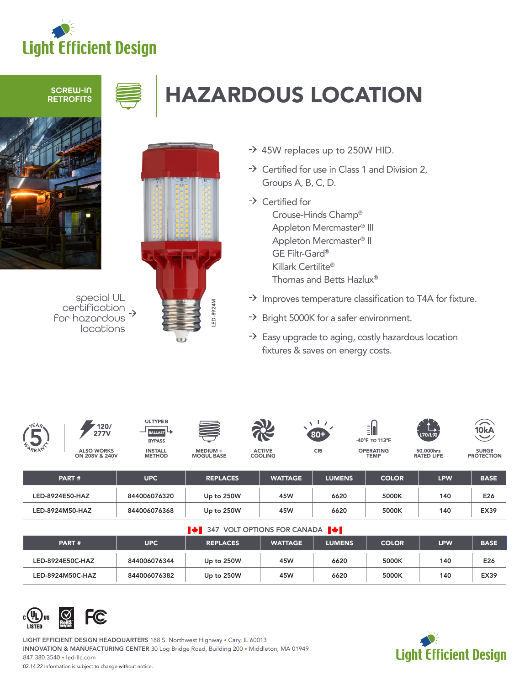

**RETROFITS** 



# SCREW-IN **SERGEW-IN**





special UL certification for hazardous locations

- Certified for Crouse-Hinds Champ® Appleton Mercmaster® III Appleton Mercmaster® II
	- GE Filtr-Gard® Killark Certilite® Thomas and Betts Hazlux®

45W replaces up to 250W HID.

Groups A, B, C, D.

Certified for use in Class 1 and Division 2,

- $\rightarrow$  Improves temperature classification to T4A for fixture.
- > Bright 5000K for a safer environment.
- $\rightarrow$  Easy upgrade to aging, costly hazardous location fixtures & saves on energy costs.



ON 208V & 240V

**BALLAST BYPASS** INSTALL

**METHOD** 

**ULTYPE B** 

COOLING ALSO WORKS MEDIUM +<br>MOGUL BASE MOGUL BASE OPERATING



CRI 80+



**TEMP** 



50,000hrs RATED LIFE

SURGE **PROTECTION** 

| PART#           | <b>UPC</b>   | <b>REPLACES</b> | <b>WATTAGE</b> | <b>LUMENS</b> | <b>COLOR</b> | <b>LPW</b> | <b>BASE</b> |
|-----------------|--------------|-----------------|----------------|---------------|--------------|------------|-------------|
| LED-8924E50-HAZ | 844006076320 | Up to 250W      | 45W            | 6620          | 5000K        | 140        | E26         |
| LED-8924M50-HAZ | 844006076368 | Up to 250W      | 45W            | 6620          | 5000K        | 140        | <b>EX39</b> |

# **347 VOLT OPTIONS FOR CANADA**

|                  |              | .               |                | .             |              |            |             |
|------------------|--------------|-----------------|----------------|---------------|--------------|------------|-------------|
| <b>PART#</b>     | <b>UPC</b>   | <b>REPLACES</b> | <b>WATTAGE</b> | <b>LUMENS</b> | <b>COLOR</b> | <b>LPW</b> | <b>BASE</b> |
| LED-8924E50C-HAZ | 844006076344 | Up to 250W      | 45W            | 6620          | 5000K        | 140        | E26         |
| LED-8924M50C-HAZ | 844006076382 | Up to 250W      | 45W            | 6620          | 5000K        | 140        | <b>EX39</b> |



LIGHT EFFICIENT DESIGN HEADQUARTERS 188 S. Northwest Highway • Cary, IL 60013 INNOVATION & MANUFACTURING CENTER 30 Log Bridge Road, Building 200 • Middleton, MA 01949 847.380.3540 • led-llc.com



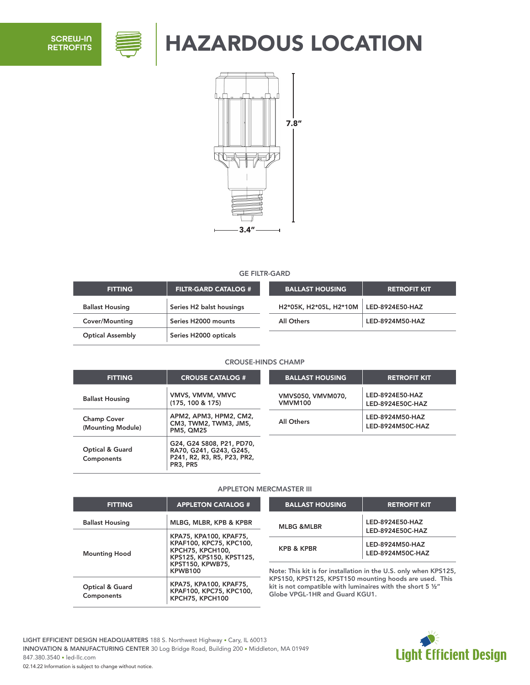





#### GE FILTR-GARD

| <b>FITTING</b>          | <b>FILTR-GARD CATALOG #</b> | <b>BALLAST HOUSING</b> | <b>RETROFIT KIT</b> |
|-------------------------|-----------------------------|------------------------|---------------------|
| <b>Ballast Housing</b>  | Series H2 balst housings    | H2*05K, H2*05L, H2*10M | LED-8924E50-HAZ     |
| Cover/Mounting          | Series H2000 mounts         | All Others             | LED-8924M50-HAZ     |
| <b>Optical Assembly</b> | Series H2000 opticals       |                        |                     |

### CROUSE-HINDS CHAMP

| <b>FITTING</b>                           | <b>CROUSE CATALOG #</b>                                                                                | <b>BALLAST HOUSING.</b>      | <b>RETROFIT KIT</b>                 |
|------------------------------------------|--------------------------------------------------------------------------------------------------------|------------------------------|-------------------------------------|
| <b>Ballast Housing</b>                   | VMVS, VMVM, VMVC<br>$(175, 100 \& 175)$                                                                | VMVS050, VMVM070,<br>VMVM100 | LED-8924E50-HAZ<br>LED-8924E50C-HAZ |
| <b>Champ Cover</b><br>(Mounting Module)  | APM2, APM3, HPM2, CM2,<br>CM3, TWM2, TWM3, JM5,<br><b>PM5, QM25</b>                                    | <b>All Others</b>            | LED-8924M50-HAZ<br>LED-8924M50C-HAZ |
| <b>Optical &amp; Guard</b><br>Components | G24, G24 S808, P21, PD70,<br>RA70, G241, G243, G245,<br>P241, R2, R3, R5, P23, PR2,<br><b>PR3, PR5</b> |                              |                                     |

#### APPLETON MERCMASTER III

| <b>FITTING</b>                                                                                                                                                         | <b>APPLETON CATALOG #</b>                                            | <b>BALLAST HOUSING</b>                                                                                                                                     | <b>RETROFIT KIT</b>                                              |  |
|------------------------------------------------------------------------------------------------------------------------------------------------------------------------|----------------------------------------------------------------------|------------------------------------------------------------------------------------------------------------------------------------------------------------|------------------------------------------------------------------|--|
| <b>Ballast Housing</b>                                                                                                                                                 | MLBG, MLBR, KPB & KPBR                                               | <b>MLBG &amp;MLBR</b>                                                                                                                                      | LED-8924E50-HAZ<br>LED-8924E50C-HAZ                              |  |
| KPA75, KPA100, KPAF75,<br>KPAF100, KPC75, KPC100,<br><b>KPCH75, KPCH100,</b><br><b>Mounting Hood</b><br>KPS125, KPS150, KPST125,<br><b>KPST150, KPWB75,</b><br>KPWB100 | LED-8924M50-HAZ<br><b>KPB &amp; KPBR</b><br>LED-8924M50C-HAZ         |                                                                                                                                                            |                                                                  |  |
|                                                                                                                                                                        |                                                                      |                                                                                                                                                            | Note: This kit is for installation in the U.S. only when KPS125, |  |
| <b>Optical &amp; Guard</b><br>Components                                                                                                                               | KPA75, KPA100, KPAF75,<br>KPAF100, KPC75, KPC100,<br>KPCH75, KPCH100 | KPS150, KPST125, KPST150 mounting hoods are used. This<br>kit is not compatible with luminaires with the short 5 $1/2$ "<br>Globe VPGL-1HR and Guard KGU1. |                                                                  |  |



LIGHT EFFICIENT DESIGN HEADQUARTERS 188 S. Northwest Highway • Cary, IL 60013 INNOVATION & MANUFACTURING CENTER 30 Log Bridge Road, Building 200 • Middleton, MA 01949 847.380.3540 • led-llc.com